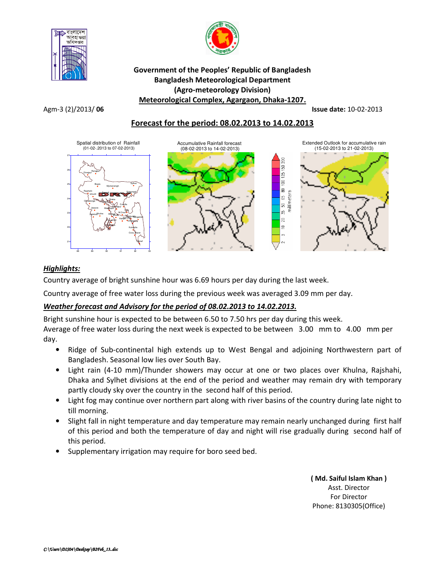



## Government of the Peoples' Republic of Bangladesh Bangladesh Meteorological Department (Agro-meteorology Division) Meteorological Complex, Agargaon, Dhaka-1207.

Agm-3 (2)/2013/ 06 **Issue date:** 10-02-2013

# Forecast for the period: 08.02.2013 to 14.02.2013



# Highlights:

Country average of bright sunshine hour was 6.69 hours per day during the last week.

Country average of free water loss during the previous week was averaged 3.09 mm per day.

# Weather forecast and Advisory for the period of 08.02.2013 to 14.02.2013.

Bright sunshine hour is expected to be between 6.50 to 7.50 hrs per day during this week. Average of free water loss during the next week is expected to be between 3.00 mm to 4.00 mm per day.

- Ridge of Sub-continental high extends up to West Bengal and adjoining Northwestern part of Bangladesh. Seasonal low lies over South Bay.
- Light rain (4-10 mm)/Thunder showers may occur at one or two places over Khulna, Rajshahi, Dhaka and Sylhet divisions at the end of the period and weather may remain dry with temporary partly cloudy sky over the country in the second half of this period.
- Light fog may continue over northern part along with river basins of the country during late night to till morning.
- Slight fall in night temperature and day temperature may remain nearly unchanged during first half of this period and both the temperature of day and night will rise gradually during second half of this period.
- Supplementary irrigation may require for boro seed bed.

( Md. Saiful Islam Khan ) Asst. Director For Director Phone: 8130305(Office)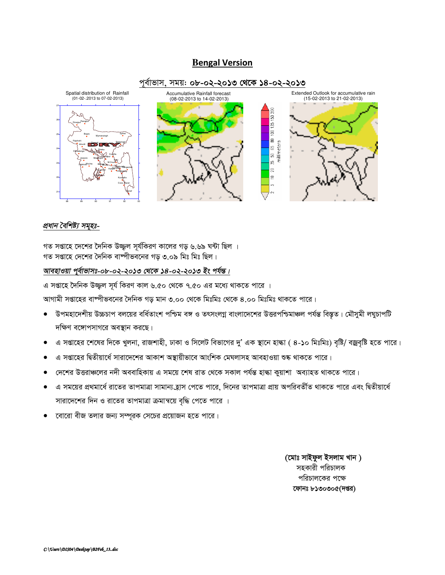# **Bengal Version**



## প্ৰধান বৈশিষ্ট্য সমূহঃ-

গত সপ্তাহে দেশের দৈনিক উজ্জ্বল সূর্যকিরণ কালের গড় ৬.৬৯ ঘন্টা ছিল । গত সপ্তাহে দেশের দৈনিক বাস্পীভবনের গড় ৩.০৯ মিঃ মিঃ ছিল।

### আবহাওয়া পূর্বাভাসঃ-০৮-০২-২০১৩ থেকে ১৪-০২-২০১৩ ইং পর্যন্ত।

এ সপ্তাহে দৈনিক উজ্জল সূর্য কিরণ কাল ৬.৫০ থেকে ৭.৫০ এর মধ্যে থাকতে পারে ।

আগামী সপ্তাহের বাষ্পীভবনের দৈনিক গড় মান ৩.০০ থেকে মিঃমিঃ থেকে ৪.০০ মিঃমিঃ থাকতে পারে।

- উপমহাদেশীয় উচ্চচাপ বলয়ের বর্ধিতাংশ পশ্চিম বঙ্গ ও তৎসংলগ্ন বাংলাদেশের উত্তরপশ্চিমাঞ্চল পর্যন্ত বিস্তৃত। মৌসুমী লঘুচাপটি  $\bullet$ দক্ষিণ বঙ্গোপসাগরে অবস্থান করছে।
- এ সপ্তাহের শেষের দিকে খুলনা, রাজশাহী, ঢাকা ও সিলেট বিভাগের দু' এক স্থানে হাল্কা ( ৪-১০ মিঃমিঃ) বৃষ্টি/ বজ্রবৃষ্টি হতে পারে।
- এ সপ্তাহের দ্বিতীয়ার্ধে সারাদেশের আকাশ অস্থায়ীভাবে আংশিক মেঘলাসহ আবহাওয়া শুষ্ক থাকতে পারে।
- দেশের উত্তরাঞ্চলের নদী অববাহিকায় এ সময়ে শেষ রাত থেকে সকাল পর্যন্ত হাল্কা কুয়াশা অব্যাহত থাকতে পারে।
- এ সময়ের প্রথমার্ধে রাতের তাপমাত্রা সামান্য হ্রাস পেতে পারে, দিনের তাপমাত্রা প্রায় অপরিবর্তীত থাকতে পারে এবং দ্বিতীয়ার্ধে সারাদেশের দিন ও রাতের তাপমাত্রা ক্রমান্বয়ে বৃদ্ধি পেতে পারে ।
- বোরো বীজ তলার জন্য সম্পূরক সেচের প্রয়োজন হতে পারে।

(মোঃ সাইফুল ইসলাম খান) সহকারী পরিচালক পরিচালকের পক্ষে ফোনঃ ৮১৩০৩০৫(দপ্তর)